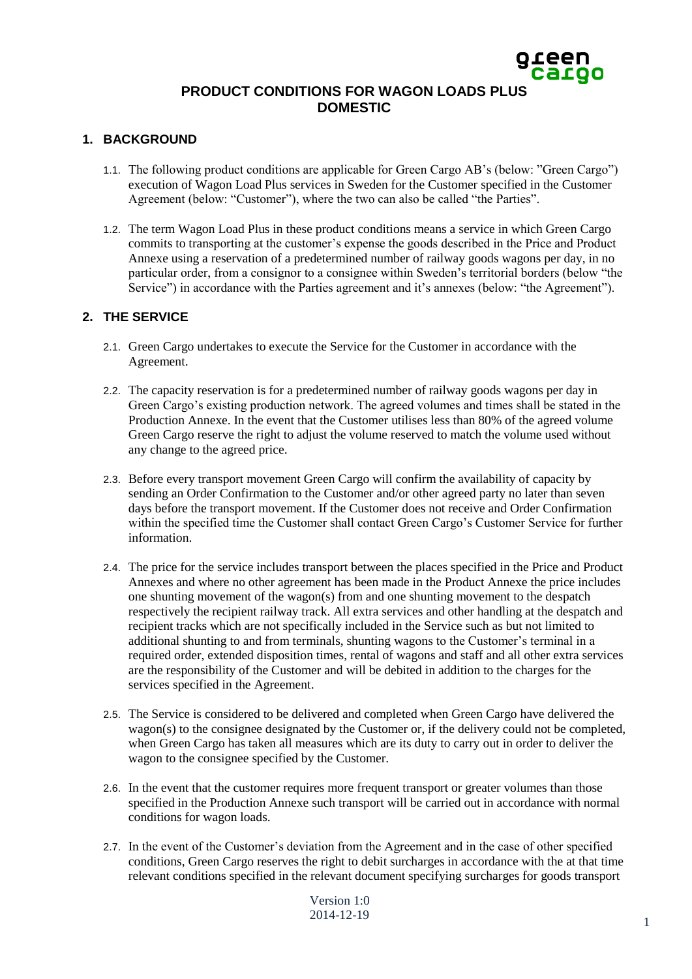# green<br>Cargo **PRODUCT CONDITIONS FOR WAGON LOADS PLUS DOMESTIC**

# **1. BACKGROUND**

- 1.1. The following product conditions are applicable for Green Cargo AB's (below: "Green Cargo") execution of Wagon Load Plus services in Sweden for the Customer specified in the Customer Agreement (below: "Customer"), where the two can also be called "the Parties".
- 1.2. The term Wagon Load Plus in these product conditions means a service in which Green Cargo commits to transporting at the customer's expense the goods described in the Price and Product Annexe using a reservation of a predetermined number of railway goods wagons per day, in no particular order, from a consignor to a consignee within Sweden's territorial borders (below "the Service") in accordance with the Parties agreement and it's annexes (below: "the Agreement").

## **2. THE SERVICE**

- 2.1. Green Cargo undertakes to execute the Service for the Customer in accordance with the Agreement.
- 2.2. The capacity reservation is for a predetermined number of railway goods wagons per day in Green Cargo's existing production network. The agreed volumes and times shall be stated in the Production Annexe. In the event that the Customer utilises less than 80% of the agreed volume Green Cargo reserve the right to adjust the volume reserved to match the volume used without any change to the agreed price.
- 2.3. Before every transport movement Green Cargo will confirm the availability of capacity by sending an Order Confirmation to the Customer and/or other agreed party no later than seven days before the transport movement. If the Customer does not receive and Order Confirmation within the specified time the Customer shall contact Green Cargo's Customer Service for further information.
- 2.4. The price for the service includes transport between the places specified in the Price and Product Annexes and where no other agreement has been made in the Product Annexe the price includes one shunting movement of the wagon(s) from and one shunting movement to the despatch respectively the recipient railway track. All extra services and other handling at the despatch and recipient tracks which are not specifically included in the Service such as but not limited to additional shunting to and from terminals, shunting wagons to the Customer's terminal in a required order, extended disposition times, rental of wagons and staff and all other extra services are the responsibility of the Customer and will be debited in addition to the charges for the services specified in the Agreement.
- 2.5. The Service is considered to be delivered and completed when Green Cargo have delivered the wagon(s) to the consignee designated by the Customer or, if the delivery could not be completed, when Green Cargo has taken all measures which are its duty to carry out in order to deliver the wagon to the consignee specified by the Customer.
- 2.6. In the event that the customer requires more frequent transport or greater volumes than those specified in the Production Annexe such transport will be carried out in accordance with normal conditions for wagon loads.
- 2.7. In the event of the Customer's deviation from the Agreement and in the case of other specified conditions, Green Cargo reserves the right to debit surcharges in accordance with the at that time relevant conditions specified in the relevant document specifying surcharges for goods transport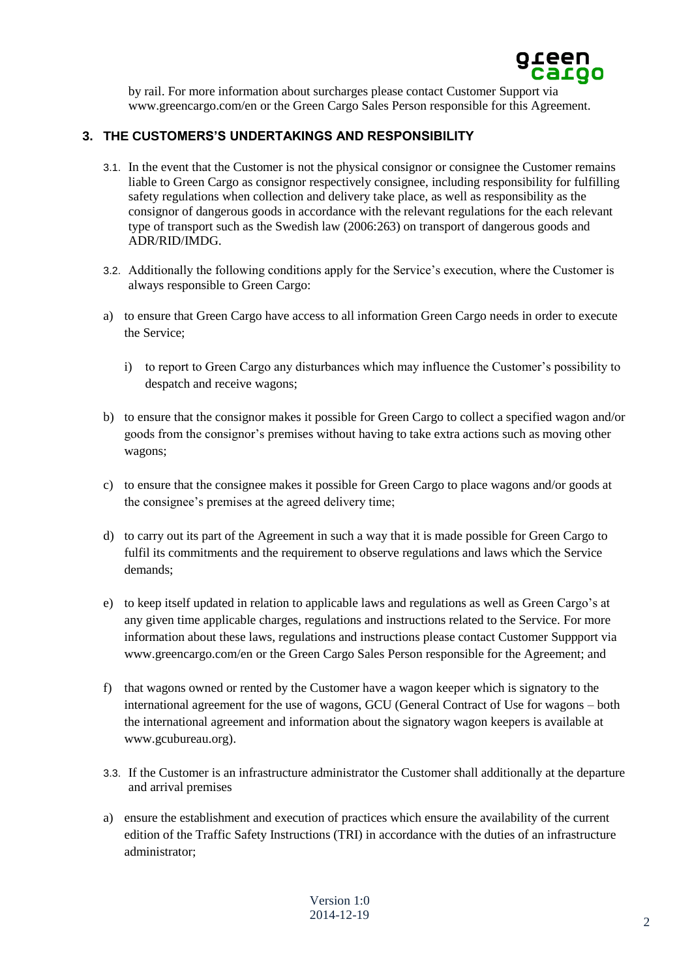

by rail. For more information about surcharges please contact Customer Support via www.greencargo.com/en or the Green Cargo Sales Person responsible for this Agreement.

# **3. THE CUSTOMERS'S UNDERTAKINGS AND RESPONSIBILITY**

- 3.1. In the event that the Customer is not the physical consignor or consignee the Customer remains liable to Green Cargo as consignor respectively consignee, including responsibility for fulfilling safety regulations when collection and delivery take place, as well as responsibility as the consignor of dangerous goods in accordance with the relevant regulations for the each relevant type of transport such as the Swedish law (2006:263) on transport of dangerous goods and ADR/RID/IMDG.
- 3.2. Additionally the following conditions apply for the Service's execution, where the Customer is always responsible to Green Cargo:
- a) to ensure that Green Cargo have access to all information Green Cargo needs in order to execute the Service;
	- i) to report to Green Cargo any disturbances which may influence the Customer's possibility to despatch and receive wagons;
- b) to ensure that the consignor makes it possible for Green Cargo to collect a specified wagon and/or goods from the consignor's premises without having to take extra actions such as moving other wagons;
- c) to ensure that the consignee makes it possible for Green Cargo to place wagons and/or goods at the consignee's premises at the agreed delivery time;
- d) to carry out its part of the Agreement in such a way that it is made possible for Green Cargo to fulfil its commitments and the requirement to observe regulations and laws which the Service demands;
- e) to keep itself updated in relation to applicable laws and regulations as well as Green Cargo's at any given time applicable charges, regulations and instructions related to the Service. For more information about these laws, regulations and instructions please contact Customer Suppport via www.greencargo.com/en or the Green Cargo Sales Person responsible for the Agreement; and
- f) that wagons owned or rented by the Customer have a wagon keeper which is signatory to the international agreement for the use of wagons, GCU (General Contract of Use for wagons – both the international agreement and information about the signatory wagon keepers is available at www.gcubureau.org).
- 3.3. If the Customer is an infrastructure administrator the Customer shall additionally at the departure and arrival premises
- a) ensure the establishment and execution of practices which ensure the availability of the current edition of the Traffic Safety Instructions (TRI) in accordance with the duties of an infrastructure administrator;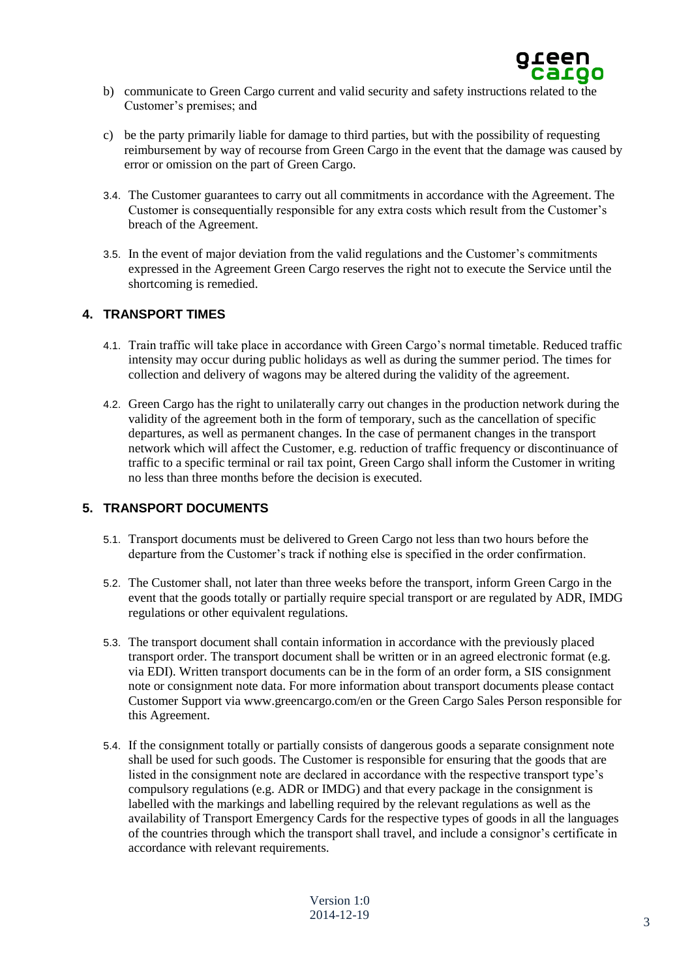

- b) communicate to Green Cargo current and valid security and safety instructions related to the Customer's premises; and
- c) be the party primarily liable for damage to third parties, but with the possibility of requesting reimbursement by way of recourse from Green Cargo in the event that the damage was caused by error or omission on the part of Green Cargo.
- 3.4. The Customer guarantees to carry out all commitments in accordance with the Agreement. The Customer is consequentially responsible for any extra costs which result from the Customer's breach of the Agreement.
- 3.5. In the event of major deviation from the valid regulations and the Customer's commitments expressed in the Agreement Green Cargo reserves the right not to execute the Service until the shortcoming is remedied.

## **4. TRANSPORT TIMES**

- 4.1. Train traffic will take place in accordance with Green Cargo's normal timetable. Reduced traffic intensity may occur during public holidays as well as during the summer period. The times for collection and delivery of wagons may be altered during the validity of the agreement.
- 4.2. Green Cargo has the right to unilaterally carry out changes in the production network during the validity of the agreement both in the form of temporary, such as the cancellation of specific departures, as well as permanent changes. In the case of permanent changes in the transport network which will affect the Customer, e.g. reduction of traffic frequency or discontinuance of traffic to a specific terminal or rail tax point, Green Cargo shall inform the Customer in writing no less than three months before the decision is executed.

# **5. TRANSPORT DOCUMENTS**

- 5.1. Transport documents must be delivered to Green Cargo not less than two hours before the departure from the Customer's track if nothing else is specified in the order confirmation.
- 5.2. The Customer shall, not later than three weeks before the transport, inform Green Cargo in the event that the goods totally or partially require special transport or are regulated by ADR, IMDG regulations or other equivalent regulations.
- 5.3. The transport document shall contain information in accordance with the previously placed transport order. The transport document shall be written or in an agreed electronic format (e.g. via EDI). Written transport documents can be in the form of an order form, a SIS consignment note or consignment note data. For more information about transport documents please contact Customer Support via www.greencargo.com/en or the Green Cargo Sales Person responsible for this Agreement.
- 5.4. If the consignment totally or partially consists of dangerous goods a separate consignment note shall be used for such goods. The Customer is responsible for ensuring that the goods that are listed in the consignment note are declared in accordance with the respective transport type's compulsory regulations (e.g. ADR or IMDG) and that every package in the consignment is labelled with the markings and labelling required by the relevant regulations as well as the availability of Transport Emergency Cards for the respective types of goods in all the languages of the countries through which the transport shall travel, and include a consignor's certificate in accordance with relevant requirements.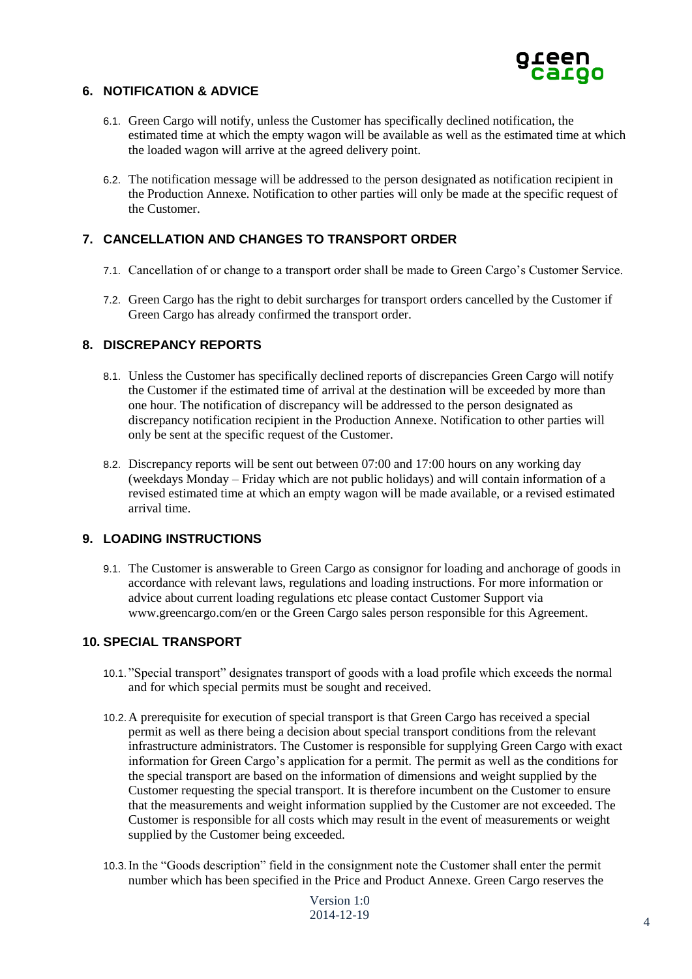

# **6. NOTIFICATION & ADVICE**

- 6.1. Green Cargo will notify, unless the Customer has specifically declined notification, the estimated time at which the empty wagon will be available as well as the estimated time at which the loaded wagon will arrive at the agreed delivery point.
- 6.2. The notification message will be addressed to the person designated as notification recipient in the Production Annexe. Notification to other parties will only be made at the specific request of the Customer.

# **7. CANCELLATION AND CHANGES TO TRANSPORT ORDER**

- 7.1. Cancellation of or change to a transport order shall be made to Green Cargo's Customer Service.
- 7.2. Green Cargo has the right to debit surcharges for transport orders cancelled by the Customer if Green Cargo has already confirmed the transport order.

## **8. DISCREPANCY REPORTS**

- 8.1. Unless the Customer has specifically declined reports of discrepancies Green Cargo will notify the Customer if the estimated time of arrival at the destination will be exceeded by more than one hour. The notification of discrepancy will be addressed to the person designated as discrepancy notification recipient in the Production Annexe. Notification to other parties will only be sent at the specific request of the Customer.
- 8.2. Discrepancy reports will be sent out between 07:00 and 17:00 hours on any working day (weekdays Monday – Friday which are not public holidays) and will contain information of a revised estimated time at which an empty wagon will be made available, or a revised estimated arrival time.

## **9. LOADING INSTRUCTIONS**

9.1. The Customer is answerable to Green Cargo as consignor for loading and anchorage of goods in accordance with relevant laws, regulations and loading instructions. For more information or advice about current loading regulations etc please contact Customer Support via www.greencargo.com/en or the Green Cargo sales person responsible for this Agreement.

#### **10. SPECIAL TRANSPORT**

- 10.1. "Special transport" designates transport of goods with a load profile which exceeds the normal and for which special permits must be sought and received.
- 10.2.A prerequisite for execution of special transport is that Green Cargo has received a special permit as well as there being a decision about special transport conditions from the relevant infrastructure administrators. The Customer is responsible for supplying Green Cargo with exact information for Green Cargo's application for a permit. The permit as well as the conditions for the special transport are based on the information of dimensions and weight supplied by the Customer requesting the special transport. It is therefore incumbent on the Customer to ensure that the measurements and weight information supplied by the Customer are not exceeded. The Customer is responsible for all costs which may result in the event of measurements or weight supplied by the Customer being exceeded.
- 10.3.In the "Goods description" field in the consignment note the Customer shall enter the permit number which has been specified in the Price and Product Annexe. Green Cargo reserves the